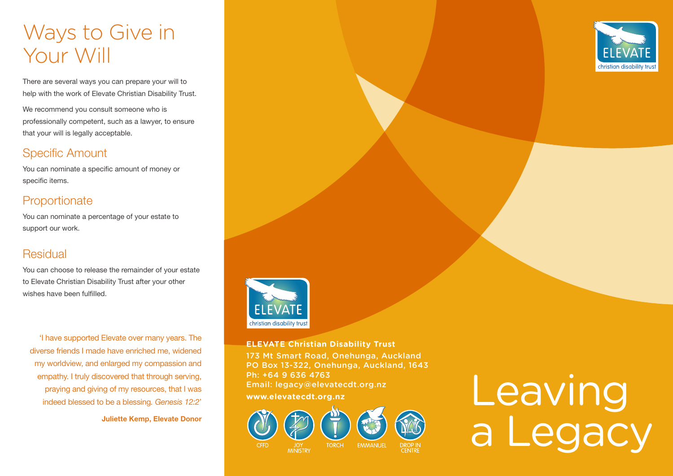## Ways to Give in Your Will

There are several ways you can prepare your will to help with the work of Elevate Christian Disability Trust.

We recommend you consult someone who is professionally competent, such as a lawyer, to ensure that your will is legally acceptable.

#### Specific Amount

You can nominate a specific amount of money or specific items.

#### **Proportionate**

You can nominate a percentage of your estate to support our work.

#### **Residual**

You can choose to release the remainder of your estate to Elevate Christian Disability Trust after your other wishes have been fulfilled.

'I have supported Elevate over many years. The diverse friends I made have enriched me, widened my worldview, and enlarged my compassion and empathy. I truly discovered that through serving, praying and giving of my resources, that I was indeed blessed to be a blessing*. Genesis 12:2*'

Juliette Kemp, Elevate Donor



#### **ELEVATE Christian Disability Trust**

173 Mt Smart Road, Onehunga, Auckland PO Box 13-322, Onehunga, Auckland, 1643 Ph: +64 9 636 4763 Email: legacy@elevatecdt.org.nz



# Ph: +64 9 636 4763<br>Email: legacy@elevatecdt.org.nz<br>www.elevatecdt.org.nz<br>Album Album Album Album Album Album Album Album Album Album Album Album Album Album Album A a Legacy